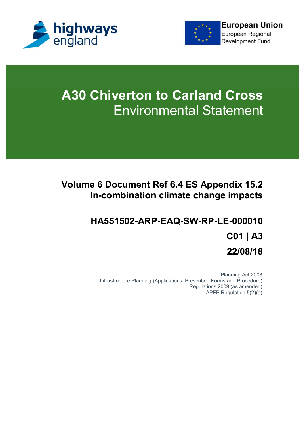



# **A30 Chiverton to Carland Cross** Environmental Statement

## **Volume 6 Document Ref 6.4 ES Appendix 15.2 In-combination climate change impacts**

# **HA551502-ARP-EAQ-SW-RP-LE-000010 C01 | A3 22/08/18**

Planning Act 2008 Infrastructure Planning (Applications: Prescribed Forms and Procedure) Regulations 2009 (as amended) APFP Regulation 5(2)(a)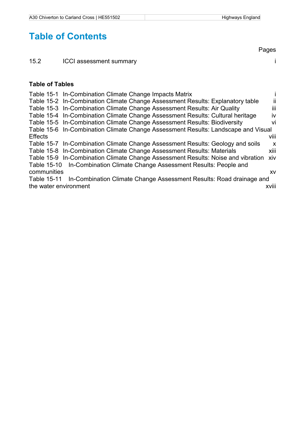## **Table of Contents**

Pages

## 15.2 ICCI assessment summary intervalsed and the state of the state of the state of the state of the state of the state of the state of the state of the state of the state of the state of the state of the state of the stat

### **Table of Tables**

| Table 15-1 In-Combination Climate Change Impacts Matrix                           |                           |
|-----------------------------------------------------------------------------------|---------------------------|
| Table 15-2 In-Combination Climate Change Assessment Results: Explanatory table    | Ϊİ                        |
| Table 15-3 In-Combination Climate Change Assessment Results: Air Quality          | iii                       |
| Table 15-4 In-Combination Climate Change Assessment Results: Cultural heritage    | iv                        |
| Table 15-5 In-Combination Climate Change Assessment Results: Biodiversity         | VI                        |
| Table 15-6 In-Combination Climate Change Assessment Results: Landscape and Visual |                           |
| <b>Effects</b>                                                                    | viii                      |
| Table 15-7 In-Combination Climate Change Assessment Results: Geology and soils    | $\boldsymbol{\mathsf{x}}$ |
| Table 15-8 In-Combination Climate Change Assessment Results: Materials            | xiii                      |
| Table 15-9 In-Combination Climate Change Assessment Results: Noise and vibration  | xiv                       |
| Table 15-10 In-Combination Climate Change Assessment Results: People and          |                           |
| communities                                                                       | <b>XV</b>                 |
| Table 15-11 In-Combination Climate Change Assessment Results: Road drainage and   |                           |
| the water environment                                                             | xviii                     |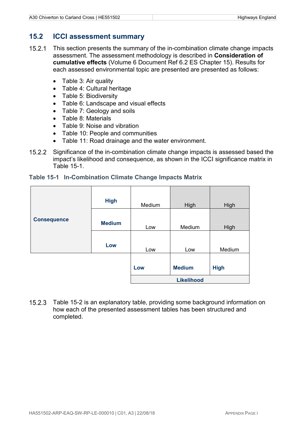## **15.2 ICCI assessment summary**

- 15.2.1 This section presents the summary of the in-combination climate change impacts assessment. The assessment methodology is described in **Consideration of cumulative effects** (Volume 6 Document Ref 6.2 ES Chapter 15). Results for each assessed environmental topic are presented are presented as follows:
	- Table 3: Air quality
	- Table 4: Cultural heritage
	- Table 5: Biodiversity
	- Table 6: Landscape and visual effects
	- Table 7: Geology and soils
	- Table 8: Materials
	- Table 9: Noise and vibration
	- Table 10: People and communities
	- Table 11: Road drainage and the water environment.
- 15.2.2 Significance of the in-combination climate change impacts is assessed based the impact's likelihood and consequence, as shown in the ICCI significance matrix in Table 15-1.

### **Table 15-1 In-Combination Climate Change Impacts Matrix**

|                    | <b>High</b>   | Medium | High              | High        |
|--------------------|---------------|--------|-------------------|-------------|
| <b>Consequence</b> | <b>Medium</b> | Low    | Medium            | High        |
|                    | Low           | Low    | Low               | Medium      |
|                    |               | Low    | <b>Medium</b>     | <b>High</b> |
|                    |               |        | <b>Likelihood</b> |             |

 Table 15-2 is an explanatory table, providing some background information on how each of the presented assessment tables has been structured and completed.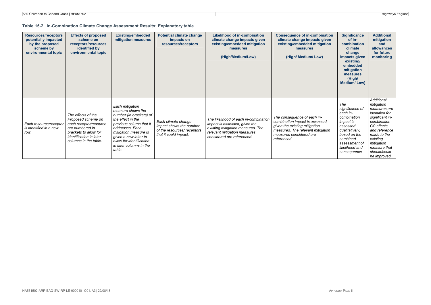#### **Table 15-2 In-Combination Climate Change Assessment Results: Explanatory table**

| <b>Resources/receptors</b><br>potentially impacted<br>by the proposed<br>scheme by<br>environmental topic | <b>Effects of proposed</b><br>scheme on<br>receptors/resources<br>identified by<br>environmental topic                                                                    | <b>Existing/embedded</b><br>mitigation measures                                                                                                                                                                                                       | Potential climate change<br>impacts on<br>resources/receptors                                          | Likelihood of in-combination<br>climate change impacts given<br>existing/embedded mitigation<br>measures<br>(High/Medium/Low)                                             | <b>Consequence of in-combination</b><br>climate change impacts given<br>existing/embedded mitigation<br>measures<br>(High/ Medium/Low)                                         | <b>Significance</b><br>of in-<br>combination<br>climate<br>change<br>impacts given<br>existing/<br>embedded<br>mitigation<br>measures<br>(High/<br><b>Medium/Low)</b>             | <b>Additional</b><br>mitigation<br>and<br>allowances<br>for future<br>monitoring                                                                                                                                      |
|-----------------------------------------------------------------------------------------------------------|---------------------------------------------------------------------------------------------------------------------------------------------------------------------------|-------------------------------------------------------------------------------------------------------------------------------------------------------------------------------------------------------------------------------------------------------|--------------------------------------------------------------------------------------------------------|---------------------------------------------------------------------------------------------------------------------------------------------------------------------------|--------------------------------------------------------------------------------------------------------------------------------------------------------------------------------|-----------------------------------------------------------------------------------------------------------------------------------------------------------------------------------|-----------------------------------------------------------------------------------------------------------------------------------------------------------------------------------------------------------------------|
| Each resource/receptor<br>is identified in a new<br>row.                                                  | The effects of the<br>Proposed scheme on<br>each receptor/resource<br>are numbered in<br>brackets to allow for<br><i>identification in later</i><br>columns in the table. | Each mitigation<br>measure shows the<br>number (in brackets) of<br>the effect in the<br>previous column that it<br>addresses. Each<br>mitigation measure is<br>given a new letter to<br>allow for identification<br>in later columns in the<br>table. | Each climate change<br>impact shows the number<br>of the resources/ receptors<br>that it could impact. | The likelihood of each in-combination<br>impact is assessed, given the<br>existing mitigation measures. The<br>relevant mitigation measures<br>considered are referenced. | The consequence of each in-<br>combination impact is assessed,<br>given the existing mitigation<br>measures. The relevant mitigation<br>measures considered are<br>referenced. | The<br>significance of<br>each in-<br>combination<br><i>impact is</i><br>assessed<br>qualitatively.<br>based on the<br>combined<br>assessment of<br>likelihood and<br>consequence | Additional<br>mitigation<br>measures are<br>identified for<br>significant in-<br>combination<br>CC effects.<br>and reference<br>made to the<br>existing<br>mitigation<br>measure that<br>should/could<br>be improved. |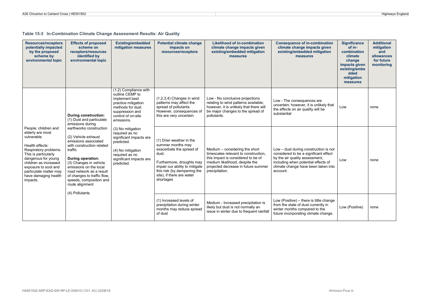#### **Table 15-3 In-Combination Climate Change Assessment Results: Air Quality**

| <b>Resources/receptors</b><br>potentially impacted<br>by the proposed<br>scheme by<br>environmental topic                                                                                                                                                        | <b>Effects of proposed</b><br>scheme on<br>receptors/resources<br>identified by<br>environmental topic                                                                                                                                                                | <b>Existing/embedded</b><br>mitigation measures                                                                                                              | <b>Potential climate change</b><br>impacts on<br>resources/receptors                                                                                                                                                       | <b>Likelihood of in-combination</b><br>climate change impacts given<br>existing/embedded mitigation<br>measures                                                                                         | <b>Consequence of in-combination</b><br>climate change impacts given<br>existing/embedded mitigation<br>measures                                                                                           | <b>Significance</b><br>of in-<br>combination<br>climate<br>change<br>impacts given<br>existing/embe<br>dded<br>mitigation<br>measures | <b>Additional</b><br>mitigation<br>and<br>allowances<br>for future<br>monitoring |
|------------------------------------------------------------------------------------------------------------------------------------------------------------------------------------------------------------------------------------------------------------------|-----------------------------------------------------------------------------------------------------------------------------------------------------------------------------------------------------------------------------------------------------------------------|--------------------------------------------------------------------------------------------------------------------------------------------------------------|----------------------------------------------------------------------------------------------------------------------------------------------------------------------------------------------------------------------------|---------------------------------------------------------------------------------------------------------------------------------------------------------------------------------------------------------|------------------------------------------------------------------------------------------------------------------------------------------------------------------------------------------------------------|---------------------------------------------------------------------------------------------------------------------------------------|----------------------------------------------------------------------------------|
|                                                                                                                                                                                                                                                                  | During construction:<br>(1) Dust and particulate<br>emissions during<br>earthworks construction                                                                                                                                                                       | (1,2) Compliance with<br>outline CEMP to<br>implement best<br>practice mitigation<br>methods for dust<br>suppression and<br>control of on-site<br>emissions. | $(1,2,3,4)$ Changes in wind<br>patterns may affect the<br>spread of pollutants.<br>However, consequences of<br>this are very uncertain.                                                                                    | Low - No conclusive projections<br>relating to wind patterns available;<br>however, it is unlikely that there will<br>be major changes to the spread of<br>pollutants.                                  | Low - The consequences are<br>uncertain; however, it is unlikely that<br>the effects on air quality will be<br>substantial                                                                                 | Low                                                                                                                                   | none                                                                             |
| People; children and<br>elderly are most<br>vulnerable<br>Health effects:<br>Respiratory problems.<br>This is particularly<br>dangerous for young<br>children as increased<br>exposure to soot and<br>particulate matter may<br>have damaging health<br>impacts. | (2) Vehicle exhaust<br>emissions associated<br>with construction related<br>traffic<br>During operation:<br>(3) Changes in vehicle<br>emissions on the local<br>road network as a result<br>of changes to traffic flow.<br>speeds, composition and<br>route alignment | (3) No mitigation<br>required as no<br>significant impacts are<br>predicted.<br>(4) No mitigation<br>required as no<br>significant impacts are<br>predicted. | (1) Drier weather in the<br>summer months may<br>exacerbate the spread of<br>dust.<br>Furthermore, droughts may<br>impair our ability to mitigate<br>this risk (by dampening the<br>site), if there are water<br>shortages | Medium – considering the short<br>timescales relevant to construction.<br>this impact is considered to be of<br>medium likelihood, despite the<br>projected decrease in future summer<br>precipitation. | Low – dust during construction is not<br>considered to be a significant effect<br>by the air quality assessment,<br>including when potential effects of<br>climate change have been taken into<br>account. | Low                                                                                                                                   | none                                                                             |
|                                                                                                                                                                                                                                                                  | (4) Pollutants                                                                                                                                                                                                                                                        |                                                                                                                                                              | (1) Increased levels of<br>precipitation during winter<br>months may reduce spread<br>of dust                                                                                                                              | Medium - Increased precipitation is<br>likely but dust is not normally an<br>issue in winter due to frequent rainfall                                                                                   | Low (Positive) – there is little change<br>from the state of dust currently in<br>winter months compared to the<br>future incorporating climate change.                                                    | Low (Positive)                                                                                                                        | none                                                                             |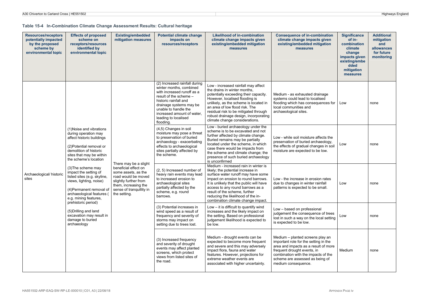#### **Table 15-4 In-Combination Climate Change Assessment Results: Cultural heritage**

| <b>Resources/receptors</b><br>potentially impacted<br>by the proposed<br>scheme by<br>environmental topic | <b>Effects of proposed</b><br>scheme on<br>receptors/resources<br>identified by<br>environmental topic                                                                                                         | <b>Existing/embedded</b><br>mitigation measures                                                                                                                                          | <b>Potential climate change</b><br>impacts on<br>resources/receptors                                                                                                                                                                                            | <b>Likelihood of in-combination</b><br>climate change impacts given<br>existing/embedded mitigation<br>measures                                                                                                                                                                                                                                     | <b>Consequence of in-combination</b><br>climate change impacts given<br>existing/embedded mitigation<br>measures                                                                                                                                  | <b>Significance</b><br>of in-<br>combination<br>climate<br>change<br>impacts given<br>existing/embe<br>dded<br>mitigation<br>measures | <b>Additional</b><br>mitigation<br>and<br>allowances<br>for future<br>monitoring |
|-----------------------------------------------------------------------------------------------------------|----------------------------------------------------------------------------------------------------------------------------------------------------------------------------------------------------------------|------------------------------------------------------------------------------------------------------------------------------------------------------------------------------------------|-----------------------------------------------------------------------------------------------------------------------------------------------------------------------------------------------------------------------------------------------------------------|-----------------------------------------------------------------------------------------------------------------------------------------------------------------------------------------------------------------------------------------------------------------------------------------------------------------------------------------------------|---------------------------------------------------------------------------------------------------------------------------------------------------------------------------------------------------------------------------------------------------|---------------------------------------------------------------------------------------------------------------------------------------|----------------------------------------------------------------------------------|
|                                                                                                           |                                                                                                                                                                                                                |                                                                                                                                                                                          | (2) Increased rainfall during<br>winter months, combined<br>with increased runoff as a<br>result of the scheme -<br>historic rainfall and<br>drainage systems may be<br>unable to handle the<br>increased amount of water,<br>leading to localised<br>flooding. | Low - increased rainfall may affect<br>the drains in winter months.<br>potentially exceeding their capacity.<br>However, localised flooding is<br>unlikely, as the scheme is located in<br>an area of low flood risk. The<br>residual risk to be mitigated through<br>robust drainage design, incorporating<br>climate change considerations.       | Medium - as exhausted drainage<br>systems could lead to localised<br>flooding which has consequences for<br>local communities and<br>archaeological sites.                                                                                        | Low                                                                                                                                   | none                                                                             |
|                                                                                                           | (1) Noise and vibrations<br>during operation may<br>affect historic buildings<br>(2) Potential removal or<br>demolition of historic<br>sites that may be within<br>the scheme's location                       |                                                                                                                                                                                          | (4,5) Changes in soil<br>moisture may pose a threat<br>to preservation of buried<br>archaeology - exacerbating<br>effects to archaeological<br>sites partially affected by<br>the scheme.                                                                       | Low - buried archaeology under the<br>scheme is to be excavated and not<br>further affected by climate change.<br>Buried remains may be partially<br>located under the scheme, in which<br>case there would be impacts from<br>the scheme and climate change; the<br>presence of such buried archaeology<br>is unconfirmed                          | Low - while soil moisture affects the<br>preservation of buried archaeology,<br>the effects of gradual changes in soil<br>moisture are expected to be low.                                                                                        | Low                                                                                                                                   | none                                                                             |
| Archaeological/ historic<br>sites                                                                         | (3) The scheme may<br>impact the setting of<br>listed sites (e.g. skyline,<br>views, lighting, noise)<br>(4) Permanent removal of<br>archaeological features (<br>e.g. mining features,<br>prehistoric period) | There may be a slight<br>beneficial effect on<br>some assets, as the<br>road would be moved<br>slightly further from<br>them, increasing the<br>sense of tranquillity in<br>the setting. | (2, 5) Increased number of<br>heavy rain events may lead<br>to increased erosion to<br>archaeological sites<br>partially affected by the<br>scheme, e.g. round<br>barrows.                                                                                      | Medium - increased rain in winter is<br>likely; the potential increase in<br>surface water runoff may have some<br>impact on erosion to round barrows.<br>It is unlikely that the public will have<br>access to any round barrows as a<br>result of the scheme, further<br>reducing the likelihood of the in-<br>combination climate change impact. | Low - the increase in erosion rates<br>due to changes in winter rainfall<br>patterns is expected to be small.                                                                                                                                     | Low                                                                                                                                   | none                                                                             |
|                                                                                                           | (5) Drilling and land<br>excavation may result in<br>damage to buried<br>archaeology                                                                                                                           |                                                                                                                                                                                          | (3) Potential increases in<br>wind speed as a result of<br>frequency and severity of<br>storms may impact on<br>setting due to trees lost.                                                                                                                      | Low - it is difficult to quantify wind<br>increases and the likely impact on<br>the setting. Based on professional<br>judgement likelihood is expected to<br>be low.                                                                                                                                                                                | Low - based on professional<br>judgement the consequence of trees<br>lost in such a way on the local setting<br>is expected to be low.                                                                                                            | Low                                                                                                                                   | none                                                                             |
|                                                                                                           |                                                                                                                                                                                                                |                                                                                                                                                                                          | (3) Increased frequency<br>and severity of drought<br>events may affect planted<br>screens, which protect<br>views from listed sites of<br>the road.                                                                                                            | Medium - drought events can be<br>expected to become more frequent<br>and severe and this may adversely<br>impact flora, fauna and water<br>features. However, projections for<br>extreme weather events are<br>associated with higher uncertainty.                                                                                                 | Medium - planted screens play an<br>important role for the setting in the<br>area and impacts as a result of more<br>frequent drought events, in<br>combination with the impacts of the<br>scheme are assessed as being of<br>medium consequence. | Medium                                                                                                                                | none                                                                             |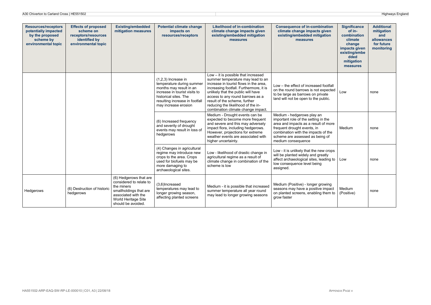| <b>Resources/receptors</b><br>potentially impacted<br>by the proposed<br>scheme by<br>environmental topic | <b>Effects of proposed</b><br>scheme on<br>receptors/resources<br>identified by<br>environmental topic | <b>Existing/embedded</b><br>mitigation measures                                                                                                               | <b>Potential climate change</b><br>impacts on<br>resources/receptors                                                                                                                              | <b>Likelihood of in-combination</b><br>climate change impacts given<br>existing/embedded mitigation<br>measures                                                                                                                                                                                                                                      | <b>Consequence of in-combination</b><br>climate change impacts given<br>existing/embedded mitigation<br>measures                                                                                                                          | <b>Significance</b><br>of in-<br>combination<br>climate<br>change<br>impacts given<br>existing/embe<br>dded<br>mitigation<br>measures | <b>Additional</b><br>mitigation<br>and<br>allowances<br>for future<br>monitoring |
|-----------------------------------------------------------------------------------------------------------|--------------------------------------------------------------------------------------------------------|---------------------------------------------------------------------------------------------------------------------------------------------------------------|---------------------------------------------------------------------------------------------------------------------------------------------------------------------------------------------------|------------------------------------------------------------------------------------------------------------------------------------------------------------------------------------------------------------------------------------------------------------------------------------------------------------------------------------------------------|-------------------------------------------------------------------------------------------------------------------------------------------------------------------------------------------------------------------------------------------|---------------------------------------------------------------------------------------------------------------------------------------|----------------------------------------------------------------------------------|
|                                                                                                           |                                                                                                        |                                                                                                                                                               | $(1,2,3)$ Increase in<br>temperature during summer<br>months may result in an<br>increase in tourist visits to<br>historical sites. The<br>resulting increase in footfall<br>may increase erosion | Low - it is possible that increased<br>summer temperature may lead to an<br>increase in tourist flows in the area,<br>increasing footfall. Furthermore, it is<br>unlikely that the public will have<br>access to any round barrows as a<br>result of the scheme, further<br>reducing the likelihood of the in-<br>combination climate change impact. | Low - the effect of increased footfall<br>on the round barrows is not expected<br>to be large as barrows on private<br>land will not be open to the public.                                                                               | Low                                                                                                                                   | none                                                                             |
|                                                                                                           |                                                                                                        |                                                                                                                                                               | (6) Increased frequency<br>and severity of drought<br>events may result in loss of<br>hedgerows                                                                                                   | Medium - Drought events can be<br>expected to become more frequent<br>and severe and this may adversely<br>impact flora, including hedgerows.<br>However, projections for extreme<br>weather events are associated with<br>higher uncertainty.                                                                                                       | Medium - hedgerows play an<br>important role of the setting in the<br>area and impacts as a result of more<br>frequent drought events, in<br>combination with the impacts of the<br>scheme are assessed as being of<br>medium consequence | Medium                                                                                                                                | none                                                                             |
|                                                                                                           |                                                                                                        |                                                                                                                                                               | (4) Changes in agricultural<br>regime may introduce new<br>crops to the area. Crops<br>used for biofuels may be<br>more damaging to<br>archaeological sites.                                      | Low - likelihood of drastic change in<br>agricultural regime as a result of<br>climate change in combination of the<br>scheme is low                                                                                                                                                                                                                 | Low - it is unlikely that the new crops<br>will be planted widely and greatly<br>affect archaeological sites, leading to<br>low consequence level being<br>assigned.                                                                      | Low                                                                                                                                   | none                                                                             |
| Hedgerows                                                                                                 | (6) Destruction of historic<br>hedgerows                                                               | (6) Hedgerows that are<br>considered to relate to<br>the miners<br>smallholdings that are<br>associated with the<br>World Heritage Site<br>should be avoided. | (3,6)Increased<br>temperatures may lead to<br>longer growing season,<br>affecting planted screens                                                                                                 | Medium - it is possible that increased<br>summer temperature all year round<br>may lead to longer growing seasons                                                                                                                                                                                                                                    | Medium (Positive) - longer growing<br>seasons may have a positive impact<br>on planted screens, enabling them to<br>grow faster                                                                                                           | Medium<br>(Positive)                                                                                                                  | none                                                                             |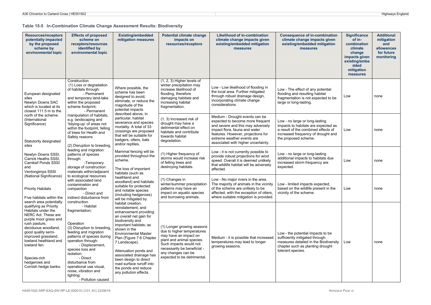**Table 15-5 In-Combination Climate Change Assessment Results: Biodiversity** 

| <b>Resources/receptors</b><br>potentially impacted<br>by the proposed<br>scheme by<br>environmental topic                                                                                                                                                                           | <b>Effects of proposed</b><br>scheme on<br>receptors/resources<br>identified by<br>environmental topic                                                                                                                                                                                                                          | <b>Existing/embedded</b><br>mitigation measures                                                                                                                                                                                                                                                                                                                                                  | <b>Potential climate change</b><br>impacts on<br>resources/receptors                                                                                                                                                         | <b>Likelihood of in-combination</b><br>climate change impacts given<br>existing/embedded mitigation<br>measures                                                                                                                                     | <b>Consequence of in-combination</b><br>climate change impacts given<br>existing/embedded mitigation<br>measures                                                           | <b>Significance</b><br>of in-<br>combination<br>climate<br>change<br>impacts given<br>existing/embe<br>dded<br>mitigation<br>measures | <b>Additional</b><br>mitigation<br>and<br>allowances<br>for future<br>monitoring |
|-------------------------------------------------------------------------------------------------------------------------------------------------------------------------------------------------------------------------------------------------------------------------------------|---------------------------------------------------------------------------------------------------------------------------------------------------------------------------------------------------------------------------------------------------------------------------------------------------------------------------------|--------------------------------------------------------------------------------------------------------------------------------------------------------------------------------------------------------------------------------------------------------------------------------------------------------------------------------------------------------------------------------------------------|------------------------------------------------------------------------------------------------------------------------------------------------------------------------------------------------------------------------------|-----------------------------------------------------------------------------------------------------------------------------------------------------------------------------------------------------------------------------------------------------|----------------------------------------------------------------------------------------------------------------------------------------------------------------------------|---------------------------------------------------------------------------------------------------------------------------------------|----------------------------------------------------------------------------------|
| European designated<br>sites<br>Newlyn Downs SAC<br>which is located at its<br>closest 111.5 m to the                                                                                                                                                                               | Construction<br>(1) Loss or degradation<br>of habitats through:<br>- Permanent<br>and temporary land-take<br>within the proposed<br>scheme footprint;<br>- Permanent                                                                                                                                                            | Where possible, the<br>scheme has been<br>designed to avoid,<br>eliminate, or reduce the<br>magnitude of the<br>potential impacts<br>described above, in                                                                                                                                                                                                                                         | $(1, 2, 3)$ Higher levels of<br>winter precipitation may<br>increase likelihood of<br>flooding, therefore<br>damaging habitats and<br>increasing habitat<br>fragmentation.                                                   | Low - Low likelihood of flooding in<br>the local area. Further mitigated<br>through robust drainage design,<br>incorporating climate change<br>considerations.                                                                                      | Low - The effect of any potential<br>flooding and resulting habitat<br>fragmentation is not expected to be<br>large or long-lasting.                                       | Low                                                                                                                                   | none                                                                             |
| north of the scheme.<br>(International<br>Significance)<br>Statutorily designated<br>sites                                                                                                                                                                                          | manipulation of habitats,<br>e.g. landscaping and<br>'tidying-up' of areas not<br>within the footprint, felling<br>of trees for Health and<br>Safety reasons<br>(2) Disruption to breeding,                                                                                                                                     | particular, habitat<br>severance and species<br>mortality. A total of 33<br>crossings are proposed<br>that will be suitable for<br>badgers, otters, bats<br>and/or reptiles.                                                                                                                                                                                                                     | (1, 3) Increased risk of<br>drought may have a<br>detrimental effect on<br>habitats and contribute<br>towards habitat<br>degradation.                                                                                        | Medium - Drought events can be<br>expected to become more frequent<br>and severe and this may adversely<br>impact flora, fauna and water<br>features. However, projections for<br>extreme weather events are<br>associated with higher uncertainty. | Low - no large or long-lasting<br>impacts to habitats are expected as<br>a result of the combined effects of<br>increased frequency of drought and<br>the proposed scheme. | Low                                                                                                                                   | none                                                                             |
| Newlyn Downs SSSI,<br>Carrick Heaths SSSI,<br><b>Carnkief Ponds SSSI</b><br>and<br>Ventongimps SSSI                                                                                                                                                                                 | feeding and migration<br>patterns of species<br>through:<br>-Temporary<br>storage of construction<br>materials within/adjacent                                                                                                                                                                                                  | Mammal fencing will be<br>provided throughout the<br>scheme.<br>The loss of important<br>habitats (such as                                                                                                                                                                                                                                                                                       | (1) Higher frequency of<br>storms would increase risk<br>of felling trees and<br>destroying habitats.                                                                                                                        | Low - it is not currently possible to<br>provide robust projections for wind<br>speed. Overall it is deemed unlikely<br>that wildlife habitat will be adversely<br>affected.                                                                        | Low - no large or long-lasting<br>additional impacts to habitats due<br>increased storm frequency are<br>expected.                                                         | Low                                                                                                                                   | none                                                                             |
| (National Significance)<br><b>Priority Habitats</b><br>Five habitats within the<br>search area potentially                                                                                                                                                                          | to ecological resources<br>with associated land<br>contamination and<br>compaction<br>- Direct and<br>indirect disturbance from<br>construction.                                                                                                                                                                                | heathland and<br>woodland) and habitats<br>suitable for protected<br>and notable species<br>(including hedgerows)<br>will be mitigated by                                                                                                                                                                                                                                                        | (1) Changes in<br>winter/summer precipitation<br>patterns may have an<br>impact on aquatic species<br>and burrowing animals.                                                                                                 | Low - No major rivers in the area.<br>The majority of animals in the vicinity<br>of the scheme are unlikely to be<br>affected, with the exception of otters,<br>where suitable mitigation is provided.                                              | Low - limited impacts expected,<br>based on the wildlife present in the<br>vicinity of the scheme.                                                                         | Low                                                                                                                                   | none                                                                             |
| qualifying as Priority<br>Habitats under the<br>NERC Act. These are<br>purple moor grass and<br>rush pasture,<br>deciduous woodland,<br>qood quality semi-<br>improved grassland,<br>lowland heathland and<br>lowland fen.<br>Species-rich<br>hedgerows and<br>Cornish hedge banks. | - Habitat<br>fragmentation;<br>Operation<br>(3) Disruption to breeding,<br>feeding and migration<br>patterns of species during<br>operation through:<br>- Displacement,<br>species loss and<br>isolation;<br>- Direct<br>disturbance from<br>operational use visual,<br>noise, vibration and<br>lighting;<br>- Pollution caused | habitat creation,<br>reinstatement, and<br>enhancement providing<br>an overall net gain for<br>biodiversity and<br>important habitats; as<br>shown in the<br><b>Environmental Master</b><br>Plan (Figure 7.6 Chapter<br>7 Landscape).<br>Attenuation ponds and<br>associated drainage has<br>been design to direct<br>road surface runoff into<br>the ponds and reduce<br>any pollution effects. | (1) Longer growing seasons<br>due to higher temperatures<br>may have an impact on<br>plant and animal species.<br>Such impacts would not<br>necessarily be beneficial -<br>any changes can be<br>expected to be detrimental. | Medium - it is possible that increased<br>temperatures may lead to longer<br>growing seasons.                                                                                                                                                       | Low - the potential impacts to be<br>sufficiently mitigated through<br>measures detailed in the Biodiversity<br>chapter such as planting drought<br>tolerant species.      | Low                                                                                                                                   | none                                                                             |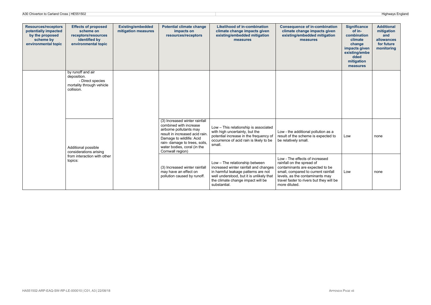| <b>Resources/receptors</b><br>potentially impacted<br>by the proposed<br>scheme by<br>environmental topic | <b>Effects of proposed</b><br>scheme on<br>receptors/resources<br>identified by<br>environmental topic | <b>Existing/embedded</b><br>mitigation measures | <b>Potential climate change</b><br>impacts on<br>resources/receptors                                                                                                                                                                | <b>Likelihood of in-combination</b><br>climate change impacts given<br>existing/embedded mitigation<br>measures                                                                                                 | <b>Consequence of in-combination</b><br>climate change impacts given<br>existing/embedded mitigation<br>measures                                                                                                                      | <b>Significance</b><br>of in-<br>combination<br>climate<br>change<br>impacts given<br>existing/embe<br>dded<br>mitigation<br>measures | <b>Additional</b><br>mitigation<br>and<br>allowances<br>for future<br>monitoring |
|-----------------------------------------------------------------------------------------------------------|--------------------------------------------------------------------------------------------------------|-------------------------------------------------|-------------------------------------------------------------------------------------------------------------------------------------------------------------------------------------------------------------------------------------|-----------------------------------------------------------------------------------------------------------------------------------------------------------------------------------------------------------------|---------------------------------------------------------------------------------------------------------------------------------------------------------------------------------------------------------------------------------------|---------------------------------------------------------------------------------------------------------------------------------------|----------------------------------------------------------------------------------|
|                                                                                                           | by runoff and air<br>deposition.<br>- Direct species<br>mortality through vehicle<br>collision.        |                                                 |                                                                                                                                                                                                                                     |                                                                                                                                                                                                                 |                                                                                                                                                                                                                                       |                                                                                                                                       |                                                                                  |
|                                                                                                           | Additional possible<br>considerations arising                                                          |                                                 | (3) Increased winter rainfall<br>combined with increase<br>airborne pollutants may<br>result in increased acid rain.<br>Damage to wildlife: Acid<br>rain-damage to trees, soils,<br>water bodies, coral (in the<br>Cornwall region) | Low - This relationship is associated<br>with high uncertainty, but the<br>potential increase in the frequency of<br>occurrence of acid rain is likely to be<br>small.                                          | Low - the additional pollution as a<br>result of the scheme is expected to<br>be relatively small.                                                                                                                                    | Low                                                                                                                                   | none                                                                             |
|                                                                                                           | from interaction with other<br>topics:                                                                 |                                                 | (3) Increased winter rainfall<br>may have an effect on<br>pollution caused by runoff.                                                                                                                                               | Low - The relationship between<br>increased winter rainfall and changes<br>in harmful leakage patterns are not<br>well understood, but it is unlikely that<br>the climate change impact will be<br>substantial. | Low - The effects of increased<br>rainfall on the spread of<br>contaminants are expected to be<br>small, compared to current rainfall<br>levels, as the contaminants may<br>travel faster to rivers but they will be<br>more diluted. | Low                                                                                                                                   | none                                                                             |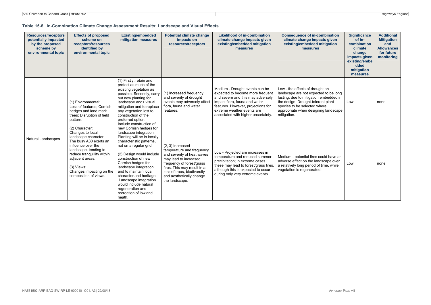#### **Table 15-6 In-Combination Climate Change Assessment Results: Landscape and Visual Effects**

| <b>Resources/receptors</b><br>potentially impacted<br>by the proposed<br>scheme by<br>environmental topic | <b>Effects of proposed</b><br>scheme on<br>receptors/resources<br>identified by<br>environmental topic                                                                                                                                                   | <b>Existing/embedded</b><br>mitigation measures                                                                                                                                                                                                                                                                                                                                                                                                                                                                                                                                                                                                                                                 | <b>Potential climate change</b><br>impacts on<br>resources/receptors                                                                                                                                                                         | <b>Likelihood of in-combination</b><br>climate change impacts given<br>existing/embedded mitigation<br>measures                                                                                                                                     | <b>Consequence of in-combination</b><br>climate change impacts given<br>existing/embedded mitigation<br>measures                                                                                                                                | <b>Significance</b><br>of in-<br>combination<br>climate<br>change<br>impacts given<br>existing/embe<br>dded<br>mitigation<br>measures | <b>Additional</b><br><b>Mitigation</b><br>and<br><b>Allowances</b><br>for future<br>monitoring |
|-----------------------------------------------------------------------------------------------------------|----------------------------------------------------------------------------------------------------------------------------------------------------------------------------------------------------------------------------------------------------------|-------------------------------------------------------------------------------------------------------------------------------------------------------------------------------------------------------------------------------------------------------------------------------------------------------------------------------------------------------------------------------------------------------------------------------------------------------------------------------------------------------------------------------------------------------------------------------------------------------------------------------------------------------------------------------------------------|----------------------------------------------------------------------------------------------------------------------------------------------------------------------------------------------------------------------------------------------|-----------------------------------------------------------------------------------------------------------------------------------------------------------------------------------------------------------------------------------------------------|-------------------------------------------------------------------------------------------------------------------------------------------------------------------------------------------------------------------------------------------------|---------------------------------------------------------------------------------------------------------------------------------------|------------------------------------------------------------------------------------------------|
| Natural Landscapes                                                                                        | (1) Environmental:<br>Loss of features; Cornish<br>hedges and land mark<br>trees; Disruption of field<br>pattern.                                                                                                                                        | (1) Firstly, retain and<br>protect as much of the<br>existing vegetation as<br>possible. Secondly, carry<br>out new planting for<br>landscape and+ visual<br>mitigation and to replace<br>any vegetation lost to<br>construction of the<br>preferred option.<br>Include construction of<br>new Cornish hedges for<br>landscape integration.<br>Planting will be in locally<br>characteristic patterns.<br>not on a regular grid.<br>(2) Design would include<br>construction of new<br>Cornish hedges for<br>landscape integration<br>and to maintain local<br>character and heritage.<br>Landscape integration<br>would include natural<br>regeneration and<br>recreation of lowland<br>heath. | (1) Increased frequency<br>and severity of drought<br>events may adversely affect<br>flora, fauna and water<br>features.                                                                                                                     | Medium - Drought events can be<br>expected to become more frequent<br>and severe and this may adversely<br>impact flora, fauna and water<br>features. However, projections for<br>extreme weather events are<br>associated with higher uncertainty. | Low - the effects of drought on<br>landscape are not expected to be long<br>lasting, due to mitigation embedded in<br>the design. Drought-tolerant plant<br>species to be selected where<br>appropriate when designing landscape<br>mitigation. | Low                                                                                                                                   | none                                                                                           |
|                                                                                                           | (2) Character:<br>Changes to local<br>landscape character<br>The busy A30 exerts an<br>influence over the<br>landscape, tending to<br>reduce tranquillity within<br>adjacent areas.<br>$(3)$ Views:<br>Changes impacting on the<br>composition of views. |                                                                                                                                                                                                                                                                                                                                                                                                                                                                                                                                                                                                                                                                                                 | (2.3) Increased<br>temperature and frequency<br>and severity of heat waves<br>may lead to increased<br>frequency of forest/grass<br>fires. This may result in a<br>loss of trees, biodiversity<br>and aesthetically change<br>the landscape. | Low - Projected are increases in<br>temperature and reduced summer<br>precipitation; in extreme cases<br>these may lead to forest/grass fires.<br>although this is expected to occur<br>during only very extreme events.                            | Medium - potential fires could have an<br>adverse effect on the landscape over<br>a relatively long period of time, while<br>vegetation is regenerated.                                                                                         | Low                                                                                                                                   | none                                                                                           |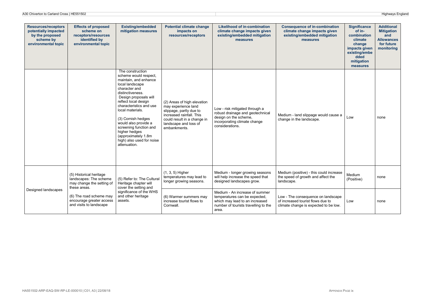| <b>Resources/receptors</b><br>potentially impacted<br>by the proposed<br>scheme by<br>environmental topic | <b>Effects of proposed</b><br>scheme on<br>receptors/resources<br>identified by<br>environmental topic | <b>Existing/embedded</b><br>mitigation measures                                                                                                                                                                                                                                                                                                                                          | <b>Potential climate change</b><br>impacts on<br>resources/receptors                                                                                                              | <b>Likelihood of in-combination</b><br>climate change impacts given<br>existing/embedded mitigation<br>measures                                    | <b>Consequence of in-combination</b><br>climate change impacts given<br>existing/embedded mitigation<br>measures | <b>Significance</b><br>of in-<br>combination<br>climate<br>change<br>impacts given<br>existing/embe<br>dded<br>mitigation<br>measures | <b>Additional</b><br><b>Mitigation</b><br>and<br><b>Allowances</b><br>for future<br>monitoring |
|-----------------------------------------------------------------------------------------------------------|--------------------------------------------------------------------------------------------------------|------------------------------------------------------------------------------------------------------------------------------------------------------------------------------------------------------------------------------------------------------------------------------------------------------------------------------------------------------------------------------------------|-----------------------------------------------------------------------------------------------------------------------------------------------------------------------------------|----------------------------------------------------------------------------------------------------------------------------------------------------|------------------------------------------------------------------------------------------------------------------|---------------------------------------------------------------------------------------------------------------------------------------|------------------------------------------------------------------------------------------------|
|                                                                                                           |                                                                                                        | The construction<br>scheme would respect.<br>maintain, and enhance<br>local landscape<br>character and<br>distinctiveness.<br>Design proposals will<br>reflect local design<br>characteristics and use<br>local materials.<br>(3) Cornish hedges<br>would also provide a<br>screening function and<br>higher hedges<br>(approximately 1.8m)<br>high) also used for noise<br>attenuation. | (2) Areas of high elevation<br>may experience land<br>slippage, partly due to<br>increased rainfall. This<br>could result in a change in<br>landscape and loss of<br>embankments. | Low - risk mitigated through a<br>robust drainage and geotechnical<br>design on the scheme.<br>incorporating climate change<br>considerations.     | Medium - land slippage would cause a<br>change in the landscape.                                                 | Low                                                                                                                                   | none                                                                                           |
|                                                                                                           | (5) Historical heritage<br>landscapes: The scheme<br>may change the setting of<br>these areas.         | (5) Refer to: The Cultural<br>Heritage chapter will<br>cover the setting and<br>significance of the WHS<br>and other heritage<br>assets.                                                                                                                                                                                                                                                 | $(1, 3, 5)$ Higher<br>temperatures may lead to<br>longer growing seasons.                                                                                                         | Medium - longer growing seasons<br>will help increase the speed that<br>designed landscapes grow.                                                  | Medium (positive) - this could increase<br>the speed of growth and affect the<br>landscape.                      | Medium<br>(Positive)                                                                                                                  | none                                                                                           |
| Designed landscapes                                                                                       | (6) The road scheme may<br>encourage greater access<br>and visits to landscape                         |                                                                                                                                                                                                                                                                                                                                                                                          | (6) Warmer summers may<br>increase tourist flows to<br>Cornwall.                                                                                                                  | Medium - An increase of summer<br>temperatures can be expected.<br>which may lead to an increased<br>number of tourists travelling to the<br>area. | Low - The consequence on landscape<br>of increased tourist flows due to<br>climate change is expected to be low. | Low                                                                                                                                   | none                                                                                           |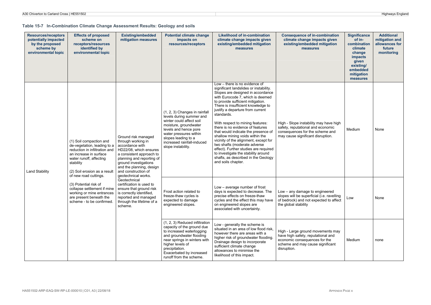#### **Table 15-7 In-Combination Climate Change Assessment Results: Geology and soils**

|  | <b>Resources/receptors</b><br>potentially impacted<br>by the proposed<br>scheme by<br>environmental topic                                 | <b>Effects of proposed</b><br>scheme on<br>receptors/resources<br>identified by<br>environmental topic                                                                                                             | <b>Existing/embedded</b><br>mitigation measures                                                                                                                                                                                                    | <b>Potential climate change</b><br>impacts on<br>resources/receptors                                                                                                                                                                               | <b>Likelihood of in-combination</b><br>climate change impacts given<br>existing/embedded mitigation<br>measures                                                                                                                                                                                                                                                                                                                                                                                                                                                                                                                                       | <b>Consequence of in-combination</b><br>climate change impacts given<br>existing/embedded mitigation<br>measures                                            | <b>Significance</b><br>of in-<br>combination<br>climate<br>change<br><i>impacts</i><br>given<br>existing/<br>embedded<br>mitigation<br>measures | <b>Additional</b><br>mitigation and<br>allowances for<br>future<br>monitoring |
|--|-------------------------------------------------------------------------------------------------------------------------------------------|--------------------------------------------------------------------------------------------------------------------------------------------------------------------------------------------------------------------|----------------------------------------------------------------------------------------------------------------------------------------------------------------------------------------------------------------------------------------------------|----------------------------------------------------------------------------------------------------------------------------------------------------------------------------------------------------------------------------------------------------|-------------------------------------------------------------------------------------------------------------------------------------------------------------------------------------------------------------------------------------------------------------------------------------------------------------------------------------------------------------------------------------------------------------------------------------------------------------------------------------------------------------------------------------------------------------------------------------------------------------------------------------------------------|-------------------------------------------------------------------------------------------------------------------------------------------------------------|-------------------------------------------------------------------------------------------------------------------------------------------------|-------------------------------------------------------------------------------|
|  | <b>Land Stability</b>                                                                                                                     | (1) Soil compaction and<br>de-vegetation, leading to a<br>reduction in infiltration and<br>an increase in surface<br>water runoff, affecting<br>stability<br>(2) Soil erosion as a result<br>of new road cuttings. | Ground risk managed<br>through working in<br>accordance with<br>HD22/08, which ensures<br>a consistent approach to<br>planning and reporting of<br>ground investigations<br>and the planning, design<br>and construction of<br>geotechnical works. | (1, 2, 3) Changes in rainfall<br>levels during summer and<br>winter could affect soil<br>moisture, groundwater<br>levels and hence pore<br>water pressures within<br>slopes leading to a<br>increased rainfall-induced<br>slope instability.       | Low - there is no evidence of<br>significant landslides or instability.<br>Slopes are designed in accordance<br>with Eurocode 7, which is deemed<br>to provide sufficient mitigation.<br>There is insufficient knowledge to<br>justify a departure from current<br>standards.<br>With respect to mining features:<br>there is no evidence of features<br>that would indicate the presence of<br>shallow mining voids within the<br>vicinity of the alignment, except for<br>two shafts (moderate adverse<br>effect). Further studies are required<br>to investigate the stability around<br>shafts, as described in the Geology<br>and soils chapter. | High - Slope instability may have high<br>safety, reputational and economic<br>consequences for the scheme and<br>may cause significant disruption.         | Medium                                                                                                                                          | None                                                                          |
|  | (3) Potential risk of<br>collapse settlement if mine<br>working or mine entrances<br>are present beneath the<br>scheme - to be confirmed. | Geotechnical<br>certification is used to<br>ensure that ground risk<br>is correctly identified.<br>reported and managed<br>through the lifetime of a<br>scheme.                                                    | Frost action related to<br>freeze-thaw cycles is<br>expected to damage<br>engineered slopes.                                                                                                                                                       | Low - average number of frost<br>days is expected to decrease. The<br>precise effects on freeze-thaw<br>cycles and the effect this may have<br>on engineered slopes are<br>associated with uncertainty.                                            | Low - any damage to engineered<br>slopes will be superficial (i.e. ravelling<br>of bedrock) and not expected to affect<br>the global stability                                                                                                                                                                                                                                                                                                                                                                                                                                                                                                        | Low                                                                                                                                                         | None                                                                                                                                            |                                                                               |
|  |                                                                                                                                           |                                                                                                                                                                                                                    |                                                                                                                                                                                                                                                    | (1, 2, 3) Reduced infiltration<br>capacity of the ground due<br>to increased waterlogging<br>and groundwater flooding<br>near springs in winters with<br>higher levels of<br>precipitation.<br>Exacerbated by increased<br>runoff from the scheme. | Low - generally the scheme is<br>situated in an area of low flood risk,<br>however there are areas with a<br>higher risk of groundwater flooding<br>Drainage design to incorporate<br>sufficient climate change<br>allowances to minimise the<br>likelihood of this impact.                                                                                                                                                                                                                                                                                                                                                                           | High - Large ground movements may<br>have high safety, reputational and<br>economic consequences for the<br>scheme and may cause significant<br>disruption. | Medium                                                                                                                                          | none                                                                          |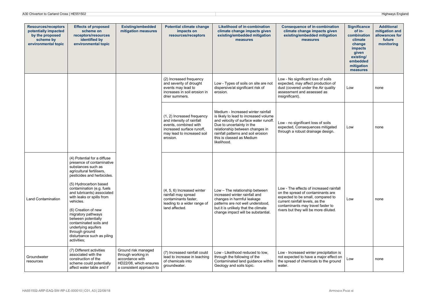| <b>Resources/receptors</b><br>potentially impacted<br>by the proposed<br>scheme by<br>environmental topic | <b>Effects of proposed</b><br>scheme on<br>receptors/resources<br>identified by<br>environmental topic                                                                                                                                                                                                                                                                                                                                                      | <b>Existing/embedded</b><br>mitigation measures                                                                    | <b>Potential climate change</b><br>impacts on<br>resources/receptors                                                                                    | <b>Likelihood of in-combination</b><br>climate change impacts given<br>existing/embedded mitigation<br>measures                                                                                                                                                        | <b>Consequence of in-combination</b><br>climate change impacts given<br>existing/embedded mitigation<br>measures                                                                                                                   | <b>Significance</b><br>of in-<br>combination<br>climate<br>change<br><b>impacts</b><br>given<br>existing/<br>embedded<br>mitigation<br>measures | <b>Additional</b><br>mitigation and<br>allowances for<br>future<br>monitoring |
|-----------------------------------------------------------------------------------------------------------|-------------------------------------------------------------------------------------------------------------------------------------------------------------------------------------------------------------------------------------------------------------------------------------------------------------------------------------------------------------------------------------------------------------------------------------------------------------|--------------------------------------------------------------------------------------------------------------------|---------------------------------------------------------------------------------------------------------------------------------------------------------|------------------------------------------------------------------------------------------------------------------------------------------------------------------------------------------------------------------------------------------------------------------------|------------------------------------------------------------------------------------------------------------------------------------------------------------------------------------------------------------------------------------|-------------------------------------------------------------------------------------------------------------------------------------------------|-------------------------------------------------------------------------------|
|                                                                                                           |                                                                                                                                                                                                                                                                                                                                                                                                                                                             |                                                                                                                    | (2) Increased frequency<br>and severity of drought<br>events may lead to<br>increases in soil erosion in<br>drier summers.                              | Low - Types of soils on site are not<br>dispersive/at significant risk of<br>erosion.                                                                                                                                                                                  | Low - No significant loss of soils<br>expected, may affect production of<br>dust (covered under the Air quality<br>assessment and assessed as<br>insignificant).                                                                   | Low                                                                                                                                             | none                                                                          |
|                                                                                                           |                                                                                                                                                                                                                                                                                                                                                                                                                                                             |                                                                                                                    | (1, 2) Increased frequency<br>and intensity of rainfall<br>events, combined with<br>increased surface runoff,<br>may lead to increased soil<br>erosion. | Medium - Increased winter rainfall<br>is likely to lead to increased volume<br>and velocity of surface water runoff.<br>Due to uncertainty in the<br>relationship between changes in<br>rainfall patterns and soil erosion<br>this is classed as Medium<br>likelihood. | Low - no significant loss of soils<br>expected, Consequences mitigated<br>through a robust drainage design.                                                                                                                        | Low                                                                                                                                             | none                                                                          |
| <b>Land Contamination</b>                                                                                 | (4) Potential for a diffuse<br>presence of contaminative<br>substances such as<br>agricultural fertilisers,<br>pesticides and herbicides.<br>(5) Hydrocarbon based<br>contamination (e.g. fuels<br>and lubricants) associated<br>with leaks or spills from<br>vehicles.<br>(6) Creation of new<br>migratory pathways<br>between potentially<br>contaminated soils and<br>underlying aquifers<br>through ground<br>disturbance such as piling<br>activities; |                                                                                                                    | (4, 5, 6) Increased winter<br>rainfall may spread<br>contaminants faster,<br>leading to a wider range of<br>land affected.                              | Low - The relationship between<br>increased winter rainfall and<br>changes in harmful leakage<br>patterns are not well understood,<br>but it is unlikely that the climate<br>change impact will be substantial.                                                        | Low - The effects of increased rainfall<br>on the spread of contaminants are<br>expected to be small, compared to<br>current rainfall levels, as the<br>contaminants may travel faster to<br>rivers but they will be more diluted. | Low                                                                                                                                             | none                                                                          |
| Groundwater<br>resources                                                                                  | (7) Different activities<br>associated with the<br>construction of the<br>scheme could potentially<br>affect water table and if                                                                                                                                                                                                                                                                                                                             | Ground risk managed<br>through working in<br>accordance with<br>HD22/08, which ensures<br>a consistent approach to | (7) Increased rainfall could<br>lead to increase in leaching<br>of chemicals into<br>groundwater.                                                       | Low - Likelihood reduced to low,<br>through the following of the<br>Contaminated land guidance within<br>Geology and soils topic.                                                                                                                                      | Low - Increased winter precipitation is<br>not expected to have a major effect on<br>the spread of chemicals to the ground<br>water.                                                                                               | Low                                                                                                                                             | none                                                                          |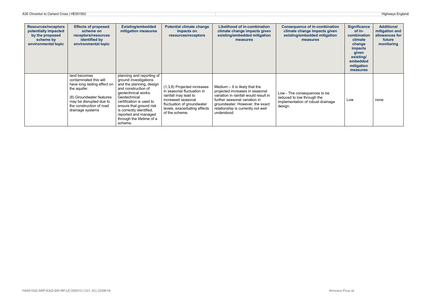| <b>Resources/receptors</b><br>potentially impacted<br>by the proposed<br>scheme by<br>environmental topic | <b>Effects of proposed</b><br>scheme on<br>receptors/resources<br>identified by<br>environmental topic                                                                                       | <b>Existing/embedded</b><br>mitigation measures                                                                                                                                                                                                                                                 | <b>Potential climate change</b><br>impacts on<br>resources/receptors                                                                                                                    | <b>Likelihood of in-combination</b><br>climate change impacts given<br>existing/embedded mitigation<br>measures                                                                                                                       | <b>Consequence of in-combination</b><br>climate change impacts given<br>existing/embedded mitigation<br>measures | <b>Significance</b><br>of in-<br>combination<br>climate<br>change<br><i>impacts</i><br>given<br>existing/<br>embedded<br>mitigation<br>measures | <b>Additional</b><br>mitigation and<br>allowances for<br>future<br>monitoring |
|-----------------------------------------------------------------------------------------------------------|----------------------------------------------------------------------------------------------------------------------------------------------------------------------------------------------|-------------------------------------------------------------------------------------------------------------------------------------------------------------------------------------------------------------------------------------------------------------------------------------------------|-----------------------------------------------------------------------------------------------------------------------------------------------------------------------------------------|---------------------------------------------------------------------------------------------------------------------------------------------------------------------------------------------------------------------------------------|------------------------------------------------------------------------------------------------------------------|-------------------------------------------------------------------------------------------------------------------------------------------------|-------------------------------------------------------------------------------|
|                                                                                                           | land becomes<br>contaminated this will<br>have long lasting effect on<br>the aquifer.<br>(8) Groundwater features<br>may be disrupted due to<br>the construction of road<br>drainage systems | planning and reporting of<br>ground investigations<br>and the planning, design<br>and construction of<br>geotechnical works.<br>Geotechnical<br>certification is used to<br>ensure that ground risk<br>is correctly identified,<br>reported and managed<br>through the lifetime of a<br>scheme. | (1,3,8) Projected increases<br>in seasonal fluctuation in<br>rainfall may lead to<br>increased seasonal<br>fluctuation of groundwater<br>levels, exacerbating effects<br>of the scheme. | Medium $-$ It is likely that the<br>projected increases in seasonal<br>variation in rainfall would result in<br>further seasonal variation in<br>groundwater. However, the exact<br>relationship is currently not well<br>understood. | Low - The consequences to be<br>reduced to low through the<br>implementation of robust drainage<br>design.       | Low                                                                                                                                             | none                                                                          |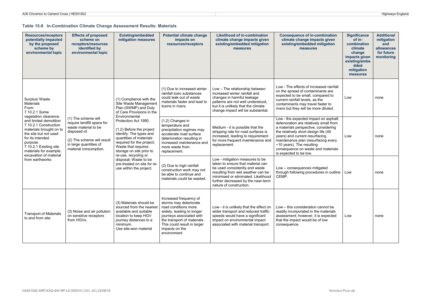**Table 15-8 In-Combination Climate Change Assessment Results: Materials** 

| <b>Resources/receptors</b><br>potentially impacted<br>by the proposed<br>scheme by<br>environmental topic                                                                                                                                                                                                                   | <b>Effects of proposed</b><br>scheme on<br>receptors/resources<br>identified by<br>environmental topic                                                                     | <b>Existing/embedded</b><br>mitigation measures                                                                                                                                                                                                                                                                                                                                                                             | <b>Potential climate change</b><br>impacts on<br>resources/receptors                                                                                                                                                              | <b>Likelihood of in-combination</b><br>climate change impacts given<br>existing/embedded mitigation<br>measures                                                                                                                                     | <b>Consequence of in-combination</b><br>climate change impacts given<br>existing/embedded mitigation<br>measures                                                                                                                                                                                                                         | <b>Significance</b><br>of in-<br>combination<br>climate<br>change<br>impacts given<br>existing/embe<br>dded<br>mitigation<br>measures | <b>Additional</b><br>mitigation<br>and<br>allowances<br>for future<br>monitoring |
|-----------------------------------------------------------------------------------------------------------------------------------------------------------------------------------------------------------------------------------------------------------------------------------------------------------------------------|----------------------------------------------------------------------------------------------------------------------------------------------------------------------------|-----------------------------------------------------------------------------------------------------------------------------------------------------------------------------------------------------------------------------------------------------------------------------------------------------------------------------------------------------------------------------------------------------------------------------|-----------------------------------------------------------------------------------------------------------------------------------------------------------------------------------------------------------------------------------|-----------------------------------------------------------------------------------------------------------------------------------------------------------------------------------------------------------------------------------------------------|------------------------------------------------------------------------------------------------------------------------------------------------------------------------------------------------------------------------------------------------------------------------------------------------------------------------------------------|---------------------------------------------------------------------------------------------------------------------------------------|----------------------------------------------------------------------------------|
| Surplus/Waste<br><b>Materials</b><br>From:<br>7.10.2.1 Some<br>vegetation clearance<br>and limited demolition<br>7.10.2.1 Construction<br>materials brought on to<br>the site but not used<br>for its intended<br>purpose.<br>7.10.2.1 Existing site<br>materials for example.<br>excavation of material<br>from earthworks | (1) The scheme will<br>require landfill space for<br>waste material to be<br>disposed of.<br>(2) The scheme will result<br>in large quantities of<br>material consumption. | (1) Compliance with the<br>Site Waste Management<br>Plan (SWMP) and Duty<br>of Care Provisions in the<br>Environmental<br>Protection Act 1990.<br>(1,2) Before the project<br>identify: The types and<br>quantities of materials<br>required for the project;<br>Waste that requires<br>storage on site prior to<br>re-use, recycling or<br>disposal; Waste to be<br>pre-treated on site for re-<br>use within the project. | (1) Due to increased winter<br>rainfall toxic substances<br>could leak out of waste<br>materials faster and lead to<br>toxins in rivers.                                                                                          | Low - The relationship between<br>increased winter rainfall and<br>changes in harmful leakage<br>patterns are not well understood,<br>but it is unlikely that the climate<br>change impact will be substantial.                                     | Low - The effects of increased rainfall<br>on the spread of contaminants are<br>expected to be small, compared to<br>current rainfall levels, as the<br>contaminants may travel faster to<br>rivers but they will be more diluted.                                                                                                       | Low                                                                                                                                   | none                                                                             |
|                                                                                                                                                                                                                                                                                                                             |                                                                                                                                                                            |                                                                                                                                                                                                                                                                                                                                                                                                                             | (1,2) Changes in<br>temperature and<br>precipitation regimes may<br>accelerate road surface<br>deterioration resulting in<br>increased maintenance and<br>more waste from<br>replacement.                                         | Medium - it is possible that the<br>stripping rate for road surfaces is<br>increased, leading to requirement<br>for more frequent maintenance and<br>replacement.                                                                                   | Low - the expected impact on asphalt<br>deterioration are relatively small from<br>a materials perspective, considering<br>the relatively short design life (40)<br>years) and current resurfacing<br>maintenance plan (resurfacing every<br>$~10$ years). The resulting<br>consequence on waste and materials<br>is expected to be low. | Low                                                                                                                                   | none                                                                             |
|                                                                                                                                                                                                                                                                                                                             |                                                                                                                                                                            |                                                                                                                                                                                                                                                                                                                                                                                                                             | (2) Due to high rainfall<br>construction work may not<br>be able to continue and<br>materials could be wasted.                                                                                                                    | Low - mitigation measures to be<br>taken to ensure that material can<br>be used consistently and waste<br>resulting from wet weather can be<br>minimised or eliminated. Likelihood<br>further decreased by the near-term<br>nature of construction. | Low - consequences mitigated<br>through following procedures in outline<br>CEMP.                                                                                                                                                                                                                                                         | Low                                                                                                                                   | none                                                                             |
| <b>Transport of Materials</b><br>to and from site                                                                                                                                                                                                                                                                           | (3) Noise and air pollution<br>on sensitive receptors<br>from HGVs.                                                                                                        | (3) Materials should be<br>sourced from the nearest<br>available and suitable<br>location to keep HGV<br>journey distances to a<br>minimum.<br>Use site-won material                                                                                                                                                                                                                                                        | Increased frequency of<br>storms may deteriorate<br>road conditions more<br>widely, leading to longer<br>journeys associated with<br>the transport of materials.<br>This could result in larger<br>impacts on the<br>environment. | Low - it is unlikely that the effect on<br>wider transport and reduced traffic<br>speeds would have a significant<br>impact on environmental impact<br>associated with material transport.                                                          | Low - this consideration cannot be<br>readily incorporated in the materials<br>assessment; however, it is expected<br>that the impact would be of low<br>consequence.                                                                                                                                                                    | Low                                                                                                                                   | none                                                                             |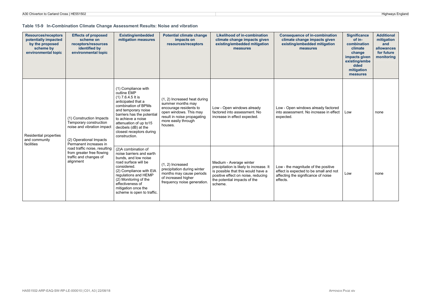#### **Table 15-9 In-Combination Climate Change Assessment Results: Noise and vibration**

| <b>Resources/receptors</b><br>potentially impacted<br>by the proposed<br>scheme by<br>environmental topic | <b>Effects of proposed</b><br>scheme on<br>receptors/resources<br>identified by<br>environmental topic                                                                                                                                     | <b>Existing/embedded</b><br>mitigation measures                                                                                                                                                                                                                                  | <b>Potential climate change</b><br>impacts on<br>resources/receptors                                                                                                   | <b>Likelihood of in-combination</b><br>climate change impacts given<br>existing/embedded mitigation<br>measures                                                                           | <b>Consequence of in-combination</b><br>climate change impacts given<br>existing/embedded mitigation<br>measures                 | <b>Significance</b><br>of in-<br>combination<br>climate<br>change<br>impacts given<br>existing/embe<br>dded<br>mitigation<br>measures | <b>Additional</b><br>mitigation<br>and<br>allowances<br>for future<br>monitoring |
|-----------------------------------------------------------------------------------------------------------|--------------------------------------------------------------------------------------------------------------------------------------------------------------------------------------------------------------------------------------------|----------------------------------------------------------------------------------------------------------------------------------------------------------------------------------------------------------------------------------------------------------------------------------|------------------------------------------------------------------------------------------------------------------------------------------------------------------------|-------------------------------------------------------------------------------------------------------------------------------------------------------------------------------------------|----------------------------------------------------------------------------------------------------------------------------------|---------------------------------------------------------------------------------------------------------------------------------------|----------------------------------------------------------------------------------|
| Residential properties<br>and community<br>facilities                                                     | (1) Construction Impacts<br>Temporary construction<br>noise and vibration impact<br>(2) Operational Impacts<br>Permanent increases in<br>road traffic noise, resulting<br>from greater free flowing<br>traffic and changes of<br>alignment | (1) Compliance with<br>outline EMP<br>$(1)$ 7.6.4.5 It is<br>anticipated that a<br>combination of BPMs<br>and temporary noise<br>barriers has the potential<br>to achieve a noise<br>attenuation of up to15<br>decibels (dB) at the<br>closest receptors during<br>construction. | (1, 2) Increased heat during<br>summer months may<br>encourage residents to<br>open windows. This may<br>result in noise propagating<br>more easily through<br>houses. | Low - Open windows already<br>factored into assessment. No<br>increase in effect expected.                                                                                                | Low - Open windows already factored<br>into assessment. No increase in effect<br>expected.                                       | Low                                                                                                                                   | none                                                                             |
|                                                                                                           |                                                                                                                                                                                                                                            | (2)A combination of<br>noise barriers and earth<br>bunds, and low noise<br>road surface will be<br>considered.<br>(2) Compliance with EIA<br>regulations and HEMP<br>(2) Monitoring of the<br>effectiveness of<br>mitigation once the<br>scheme is open to traffic.              | $(1, 2)$ Increased<br>precipitation during winter<br>months may cause periods<br>of increased higher<br>frequency noise generation.                                    | Medium - Average winter<br>precipitation is likely to increase. It<br>is possible that this would have a<br>positive effect on noise, reducing<br>the potential impacts of the<br>scheme. | Low - the magnitude of the positive<br>effect is expected to be small and not<br>affecting the significance of noise<br>effects. | Low                                                                                                                                   | none                                                                             |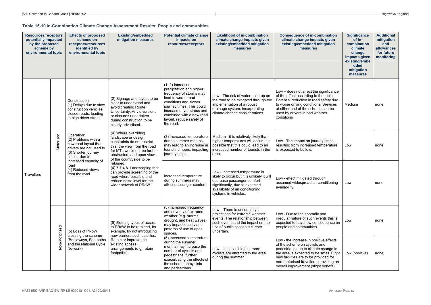**Table 15-10 In-Combination Climate Change Assessment Results: People and communities** 

| <b>Resources/receptors</b><br>potentially impacted<br>by the proposed<br>scheme by<br>environmental topic |               | <b>Effects of proposed</b><br>scheme on<br>receptors/resources<br>identified by<br>environmental topic                                                                                               | <b>Existing/embedded</b><br>mitigation measures                                                                                                                                                                                                                                                                                                                                                                                                                                                                                                                         | <b>Potential climate change</b><br>impacts on<br>resources/receptors                                                                                                                                                                                     | <b>Likelihood of in-combination</b><br>climate change impacts given<br>existing/embedded mitigation<br>measures                                                                                          | <b>Consequence of in-combination</b><br>climate change impacts given<br>existing/embedded mitigation<br>measures                                                                                                                                                                      | <b>Significance</b><br>of in-<br>combination<br>climate<br>change<br>impacts given<br>existing/embe<br>dded<br>mitigation<br>measures | <b>Additional</b><br>mitigation<br>and<br>allowances<br>for future<br>monitoring |
|-----------------------------------------------------------------------------------------------------------|---------------|------------------------------------------------------------------------------------------------------------------------------------------------------------------------------------------------------|-------------------------------------------------------------------------------------------------------------------------------------------------------------------------------------------------------------------------------------------------------------------------------------------------------------------------------------------------------------------------------------------------------------------------------------------------------------------------------------------------------------------------------------------------------------------------|----------------------------------------------------------------------------------------------------------------------------------------------------------------------------------------------------------------------------------------------------------|----------------------------------------------------------------------------------------------------------------------------------------------------------------------------------------------------------|---------------------------------------------------------------------------------------------------------------------------------------------------------------------------------------------------------------------------------------------------------------------------------------|---------------------------------------------------------------------------------------------------------------------------------------|----------------------------------------------------------------------------------|
| <b>Travellers</b>                                                                                         |               | Construction:<br>(1) Delays due to slow<br>construction vehicles.<br>closed roads, leading<br>to high driver stress                                                                                  | (2) Signage and layout to be<br>clear to understand and<br>avoid creating Route<br>Uncertainty. Any diversions<br>or closures undertaken<br>during construction to be<br>clearly advertised.<br>(4) Where overriding<br>landscape or design<br>constraints do not restrict<br>this, the view from the road<br>for MTs would not be further<br>obstructed, and open views<br>of the countryside to be<br>retained.<br>$(4)$ 7.7.4.8. Landscaping that<br>can provide screening of the<br>road where possible and<br>reduce noise level for the<br>wider network of PRoW. | $(1, 2)$ Increased<br>precipitation and higher<br>frequency of storms may<br>lead to worse road<br>conditions and slower<br>journey times. This could<br>increase driver stress and<br>combined with a new road<br>layout, reduce safety of<br>the road. | Low - The risk of water build-up on<br>the road to be mitigated through the<br>implementation of a robust<br>drainage system, incorporating<br>climate change considerations.                            | Low – does not affect the significance<br>of the effect according to the topic.<br>Potential reduction in road safety due<br>to worse driving conditions. Services<br>at either end of the scheme can be<br>used by drivers in bad weather<br>conditions                              | Medium                                                                                                                                | none                                                                             |
|                                                                                                           | Motorised     | Operation:<br>(2) Problems with a<br>new road layout that<br>drivers are not used to<br>(3) Shorter journey<br>times - due to<br>increased capacity of<br>road<br>(4) Reduced views<br>from the road |                                                                                                                                                                                                                                                                                                                                                                                                                                                                                                                                                                         | (3) Increased temperature<br>during summer months<br>may lead to an increase in<br>tourist numbers, impacting<br>journey times.                                                                                                                          | Medium - it is relatively likely that<br>higher temperatures will occur; it is<br>possible that this could lead to an<br>increased number of tourists in the<br>area.                                    | Low - The impact on journey times<br>resulting from increased temperature<br>is expected to be low.                                                                                                                                                                                   | Low                                                                                                                                   | none                                                                             |
|                                                                                                           |               |                                                                                                                                                                                                      |                                                                                                                                                                                                                                                                                                                                                                                                                                                                                                                                                                         | Increased temperature<br>during summers may<br>affect passenger comfort.                                                                                                                                                                                 | Low - increased temperature is<br>likely to occur but it is unlikely it will<br>decrease passenger comfort<br>significantly, due to expected<br>availability of air conditioning<br>systems in vehicles. | Low - effect mitigated through<br>assumed widespread air conditioning<br>availability.                                                                                                                                                                                                | Low                                                                                                                                   | none                                                                             |
|                                                                                                           |               | (5) Loss of PRoW<br>crossing the scheme<br>(Bridleways, Footpaths)<br>and the National Cycle<br>Network)                                                                                             | (5) Existing types of access<br>to PRoW to be retained, for<br>example, by not introducing<br>new barriers such as stiles.<br>Retain or improve the<br>existing access<br>arrangements (e.g. retain<br>footpaths).                                                                                                                                                                                                                                                                                                                                                      | (5) Increased frequency<br>and severity of extreme<br>weather (e.g. storms,<br>drought, and heat waves)<br>may impact quality and<br>patterns of use of open<br>spaces.                                                                                  | Low - There is uncertainty in<br>projections for extreme weather<br>events. The relationship between<br>such events and the impact on the<br>use of public spaces is further<br>uncertain.               | Low - Due to the sporadic and<br>irregular nature of such events this is<br>expected to have low consequence on<br>people and communities.                                                                                                                                            | Low                                                                                                                                   | none                                                                             |
|                                                                                                           | Non-Motorised |                                                                                                                                                                                                      |                                                                                                                                                                                                                                                                                                                                                                                                                                                                                                                                                                         | (5) Increased temperature<br>during the summer<br>months may increase the<br>number of cyclists and<br>pedestrians, further<br>exacerbating the effects of<br>the scheme on cyclists<br>and pedestrians.                                                 | Low - It is possible that more<br>cyclists are attracted to the area<br>during the summer                                                                                                                | Low - the increase in positive effects<br>of the scheme on cyclists and<br>pedestrians due to climate change in<br>the area is expected to be small. Eight<br>new facilities are to be provided for<br>non-motorised travellers, providing an<br>overall improvement (slight benefit) | Low (positive)                                                                                                                        | none                                                                             |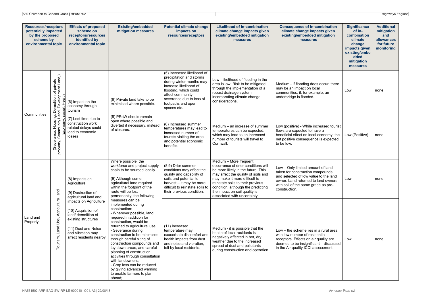| <b>Resources/receptors</b><br>potentially impacted<br>by the proposed<br>scheme by<br>environmental topic |                                                                  | <b>Effects of proposed</b><br>scheme on<br>receptors/resources<br>identified by<br>environmental topic                                                             | <b>Existing/embedded</b><br>mitigation measures                                                                                                                                                                                                                                                                                                                                                                                                                                                                                                                                                                                                                                                                                               | <b>Potential climate change</b><br>impacts on<br>resources/receptors                                                                                                                                                        | <b>Likelihood of in-combination</b><br>climate change impacts given<br>existing/embedded mitigation<br>measures                                                                                                                                                                                                         | <b>Consequence of in-combination</b><br>climate change impacts given<br>existing/embedded mitigation<br>measures                                                                                               | <b>Significance</b><br>of in-<br>combination<br>climate<br>change<br>impacts given<br>existing/embe<br>dded<br>mitigation<br>measures | <b>Additional</b><br>mitigation<br>and<br>allowances<br>for future<br>monitoring |
|-----------------------------------------------------------------------------------------------------------|------------------------------------------------------------------|--------------------------------------------------------------------------------------------------------------------------------------------------------------------|-----------------------------------------------------------------------------------------------------------------------------------------------------------------------------------------------------------------------------------------------------------------------------------------------------------------------------------------------------------------------------------------------------------------------------------------------------------------------------------------------------------------------------------------------------------------------------------------------------------------------------------------------------------------------------------------------------------------------------------------------|-----------------------------------------------------------------------------------------------------------------------------------------------------------------------------------------------------------------------------|-------------------------------------------------------------------------------------------------------------------------------------------------------------------------------------------------------------------------------------------------------------------------------------------------------------------------|----------------------------------------------------------------------------------------------------------------------------------------------------------------------------------------------------------------|---------------------------------------------------------------------------------------------------------------------------------------|----------------------------------------------------------------------------------|
| Communities                                                                                               | emolition of private<br>, Development Land,)<br>al, Health<br>පි | (6) Impact on the<br>economy through<br>tourism                                                                                                                    | (6) Private land take to be<br>minimised where possible.<br>(5) PRoW should remain<br>open where possible and<br>diverted if necessary, instead<br>of closures.                                                                                                                                                                                                                                                                                                                                                                                                                                                                                                                                                                               | (5) Increased likelihood of<br>precipitation and storms<br>during winter months may<br>increase likelihood of<br>flooding, which could<br>affect community<br>severance due to loss of<br>footpaths and open<br>spaces etc. | Low - likelihood of flooding in the<br>area is low. Risk to be mitigated<br>through the implementation of a<br>robust drainage system,<br>incorporating climate change<br>considerations.                                                                                                                               | Medium - If flooding does occur, there<br>may be an impact on local<br>communities, if, for example, an<br>underbridge is flooded.                                                                             | Low                                                                                                                                   | none                                                                             |
|                                                                                                           | (Severance, Housing, De<br>property, Community Land,             | (7) Lost time due to<br>construction work<br>related delays could<br>lead to economic<br>losses                                                                    |                                                                                                                                                                                                                                                                                                                                                                                                                                                                                                                                                                                                                                                                                                                                               | (6) Increased summer<br>temperatures may lead to<br>increased number of<br>tourists visiting the area<br>and potential economic<br>benefits.                                                                                | Medium - an increase of summer<br>temperatures can be expected,<br>which may lead to an increased<br>number of tourists will travel to<br>Cornwall.                                                                                                                                                                     | Low (positive) - While increased tourist<br>flows are expected to have a<br>beneficial effect on local economy, the<br>net positive consequence is expected<br>to be low.                                      | Low (Positive)                                                                                                                        | none                                                                             |
| Land and<br>Property                                                                                      | Tourism, Land Use, Agricultural land                             | (8) Impacts on<br>Agriculture<br>(9) Destruction of<br>agricultural land and                                                                                       | Where possible, the<br>workforce and project supply<br>chain to be sourced locally.<br>(9) Although some<br>agricultural land required<br>within the footprint of the<br>route will be lost<br>permanently, the following<br>measures can be<br>implemented during<br>construction:<br>- Wherever possible, land<br>required in addition for<br>construction, would be<br>returned to agricultural use;<br>- Severance during<br>construction to be minimised<br>through careful siting of<br>construction compounds and<br>lay down areas, and careful<br>planning of construction<br>activities through consultation<br>with landowners;<br>- Crop loss can be reduced<br>by giving advanced warning<br>to enable farmers to plan<br>ahead; | (8,9) Drier summer<br>conditions may affect the<br>quality and capability of<br>soils and potential to<br>harvest - it may be more<br>difficult to reinstate soils to<br>their previous condition.                          | Medium - More frequent<br>occurrence of drier conditions will<br>be more likely in the future. This<br>may affect the quality of soils and<br>may make it more difficult to<br>reinstate soils to their previous<br>condition, although the predicting<br>the impact on soil quality is<br>associated with uncertainty. | Low - Only limited amount of land<br>taken for construction compounds,<br>and selected of low value to the land<br>owner. Land returned to land owners<br>with soil of the same grade as pre-<br>construction. | Low                                                                                                                                   | none                                                                             |
|                                                                                                           |                                                                  | impacts on Agriculture<br>(10) Acquisition of<br>land/ demolition of<br>existing structures<br>(11) Dust and Noise<br>and Vibration may<br>affect residents nearby |                                                                                                                                                                                                                                                                                                                                                                                                                                                                                                                                                                                                                                                                                                                                               | (11) Increased<br>temperature may<br>exacerbate discomfort and<br>health impacts from dust<br>and noise and vibration,<br>felt by local residents.                                                                          | Medium - it is possible that the<br>health of local residents is<br>negatively affected in hot, dry<br>weather due to the increased<br>spread of dust and pollutants<br>during construction and operation.                                                                                                              | Low - the scheme lies in a rural area,<br>with low number of residential<br>receptors. Effects on air quality are<br>deemed to be insignificant - discussed<br>in the Air quality ICCI assessment.             | Low                                                                                                                                   | none                                                                             |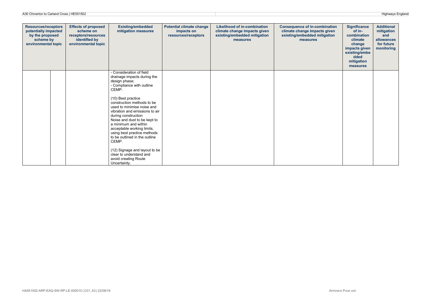| <b>Resources/receptors</b><br>potentially impacted<br>by the proposed<br>scheme by<br>environmental topic | <b>Effects of proposed</b><br>scheme on<br>receptors/resources<br>identified by<br>environmental topic | <b>Existing/embedded</b><br>mitigation measures                                                                                                                                                                                                                                                                                                                                                                                                                                                                              | <b>Potential climate change</b><br>impacts on<br>resources/receptors | Likelihood of in-combination<br>climate change impacts given<br>existing/embedded mitigation<br>measures | <b>Consequence of in-combination</b><br>climate change impacts given<br>existing/embedded mitigation<br>measures | <b>Significance</b><br>of in-<br>combination<br>climate<br>change<br>impacts given<br>existing/embe<br>dded<br>mitigation<br>measures | <b>Additional</b><br>mitigation<br>and<br>allowances<br>for future<br>monitoring |
|-----------------------------------------------------------------------------------------------------------|--------------------------------------------------------------------------------------------------------|------------------------------------------------------------------------------------------------------------------------------------------------------------------------------------------------------------------------------------------------------------------------------------------------------------------------------------------------------------------------------------------------------------------------------------------------------------------------------------------------------------------------------|----------------------------------------------------------------------|----------------------------------------------------------------------------------------------------------|------------------------------------------------------------------------------------------------------------------|---------------------------------------------------------------------------------------------------------------------------------------|----------------------------------------------------------------------------------|
|                                                                                                           |                                                                                                        | - Consideration of field<br>drainage impacts during the<br>design phase;<br>- Compliance with outline<br>CEMP.<br>(10) Best practice<br>construction methods to be<br>used to minimise noise and<br>vibration and emissions to air<br>during construction<br>Noise and dust to be kept to<br>a minimum and within<br>acceptable working limits,<br>using best practice methods<br>to be outlined in the outline<br>CEMP.<br>(12) Signage and layout to be<br>clear to understand and<br>avoid creating Route<br>Uncertainty. |                                                                      |                                                                                                          |                                                                                                                  |                                                                                                                                       |                                                                                  |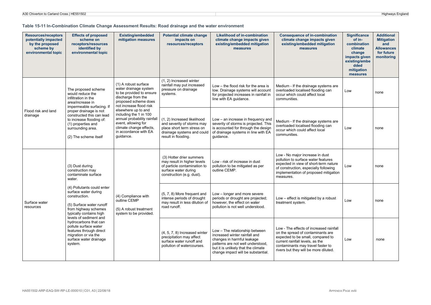#### **Table 15-11 In-Combination Climate Change Assessment Results: Road drainage and the water environment**

| <b>Resources/receptors</b><br>potentially impacted<br>by the proposed<br>scheme by<br>environmental topic | <b>Effects of proposed</b><br>scheme on<br>receptors/resources<br>identified by<br>environmental topic                                                                                                                                                                                                                                                                                         | <b>Existing/embedded</b><br>mitigation measures                                                                                                                                                                                                                                                                            | <b>Potential climate change</b><br>impacts on<br>resources/receptors                                                                         | <b>Likelihood of in-combination</b><br>climate change impacts given<br>existing/embedded mitigation<br>measures                                                                                                 | <b>Consequence of in-combination</b><br>climate change impacts given<br>existing/embedded mitigation<br>measures                                                                                                                   | <b>Significance</b><br>of in-<br>combination<br>climate<br>change<br>impacts given<br>existing/embe<br>dded<br>mitigation<br>measures | <b>Additional</b><br><b>Mitigation</b><br>and<br><b>Allowances</b><br>for future<br>monitoring |
|-----------------------------------------------------------------------------------------------------------|------------------------------------------------------------------------------------------------------------------------------------------------------------------------------------------------------------------------------------------------------------------------------------------------------------------------------------------------------------------------------------------------|----------------------------------------------------------------------------------------------------------------------------------------------------------------------------------------------------------------------------------------------------------------------------------------------------------------------------|----------------------------------------------------------------------------------------------------------------------------------------------|-----------------------------------------------------------------------------------------------------------------------------------------------------------------------------------------------------------------|------------------------------------------------------------------------------------------------------------------------------------------------------------------------------------------------------------------------------------|---------------------------------------------------------------------------------------------------------------------------------------|------------------------------------------------------------------------------------------------|
| Flood risk and land<br>drainage                                                                           | The proposed scheme<br>would reduce the<br>infiltration in the<br>area/increase in<br>impermeable surfacing. If<br>proper drainage is not<br>constructed this can lead<br>to increase flooding of:<br>(1) properties and<br>surrounding area.<br>(2) The scheme itself                                                                                                                         | (1) A robust surface<br>water drainage system<br>to be provided to ensure<br>discharge from the<br>proposed scheme does<br>not increase flood risk<br>elsewhere up to and<br>including the 1 in 100<br>annual probability rainfall<br>event, allowing for<br>climate change effects.<br>in accordance with EA<br>quidance. | (1, 2) Increased winter<br>rainfall may put increased<br>pressure on drainage<br>systems.                                                    | Low $-$ the flood risk for the area is<br>low. Drainage systems will account<br>for projected increases in rainfall in<br>line with EA quidance.                                                                | Medium - If the drainage systems are<br>overloaded localised flooding can<br>occur which could affect local<br>communities.                                                                                                        | Low                                                                                                                                   | none                                                                                           |
|                                                                                                           |                                                                                                                                                                                                                                                                                                                                                                                                |                                                                                                                                                                                                                                                                                                                            | (1, 2) Increased likelihood<br>and severity of storms may<br>place short term stress on<br>drainage systems and could<br>result in flooding. | Low – an increase in frequency and<br>severity of storms is projected. This<br>is accounted for through the design<br>of drainage systems in line with EA<br>quidance.                                          | Medium - If the drainage systems are<br>overloaded localised flooding can<br>occur which could affect local<br>communities.                                                                                                        | Low                                                                                                                                   | none                                                                                           |
| Surface water<br>resources                                                                                | (3) Dust during<br>construction may<br>contaminate surface<br>water.<br>(4) Pollutants could enter<br>surface water during<br>construction.<br>(5) Surface water runoff<br>from highway schemes<br>typically contains high<br>levels of sediment and<br>hydrocarbons that can<br>pollute surface water<br>features through direct<br>migration or via the<br>surface water drainage<br>system. | (4) Compliance with<br>outline CEMP<br>(5) A robust treatment<br>system to be provided.                                                                                                                                                                                                                                    | (3) Hotter drier summers<br>may result in higher levels<br>of particle contamination to<br>surface water during<br>construction (e.g. dust). | Low - risk of increase in dust<br>pollution to be mitigated as per<br>outline CEMP.                                                                                                                             | Low - No major increase in dust<br>pollution to surface water features<br>expected in view of short-term nature<br>of construction, especially following<br>implementation of proposed mitigation<br>measures.                     | Low                                                                                                                                   | none                                                                                           |
|                                                                                                           |                                                                                                                                                                                                                                                                                                                                                                                                |                                                                                                                                                                                                                                                                                                                            | (5, 7, 8) More frequent and<br>intense periods of drought<br>may result in less dilution of<br>road runoff.                                  | Low - longer and more severe<br>periods or drought are projected;<br>however, the effect on water<br>pollution is not well understood.                                                                          | Low - effect is mitigated by a robust<br>treatment system.                                                                                                                                                                         | Low                                                                                                                                   | none                                                                                           |
|                                                                                                           |                                                                                                                                                                                                                                                                                                                                                                                                |                                                                                                                                                                                                                                                                                                                            | (4, 5, 7, 8) Increased winter<br>precipitation may affect<br>surface water runoff and<br>pollution of watercourses.                          | Low - The relationship between<br>increased winter rainfall and<br>changes in harmful leakage<br>patterns are not well understood,<br>but it is unlikely that the climate<br>change impact will be substantial. | Low - The effects of increased rainfall<br>on the spread of contaminants are<br>expected to be small, compared to<br>current rainfall levels, as the<br>contaminants may travel faster to<br>rivers but they will be more diluted. | Low                                                                                                                                   | none                                                                                           |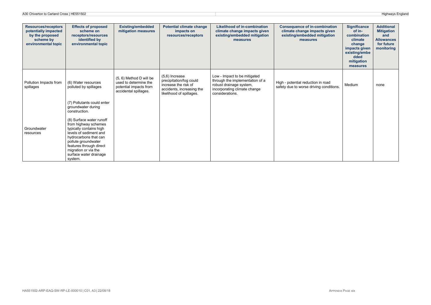| <b>Resources/receptors</b><br>potentially impacted<br>by the proposed<br>scheme by<br>environmental topic | <b>Effects of proposed</b><br>scheme on<br>receptors/resources<br>identified by<br>environmental topic                                                                                                                                                                                                             | <b>Existing/embedded</b><br>mitigation measures                                                     | <b>Potential climate change</b><br>impacts on<br>resources/receptors                                                         | <b>Likelihood of in-combination</b><br>climate change impacts given<br>existing/embedded mitigation<br>measures                               | <b>Consequence of in-combination</b><br>climate change impacts given<br>existing/embedded mitigation<br>measures | <b>Significance</b><br>of in-<br>combination<br>climate<br>change<br>impacts given<br>existing/embe<br>dded<br>mitigation<br>measures | <b>Additional</b><br><b>Mitigation</b><br>and<br><b>Allowances</b><br>for future<br>monitoring |
|-----------------------------------------------------------------------------------------------------------|--------------------------------------------------------------------------------------------------------------------------------------------------------------------------------------------------------------------------------------------------------------------------------------------------------------------|-----------------------------------------------------------------------------------------------------|------------------------------------------------------------------------------------------------------------------------------|-----------------------------------------------------------------------------------------------------------------------------------------------|------------------------------------------------------------------------------------------------------------------|---------------------------------------------------------------------------------------------------------------------------------------|------------------------------------------------------------------------------------------------|
| Pollution Impacts from<br>spillages                                                                       | (6) Water resources<br>polluted by spillages                                                                                                                                                                                                                                                                       | (5, 6) Method D will be<br>used to determine the<br>potential impacts from<br>accidental spillages. | $(5,6)$ Increase<br>precipitation/fog could<br>increase the risk of<br>accidents, increasing the<br>likelihood of spillages. | Low - Impact to be mitigated<br>through the implementation of a<br>robust drainage system,<br>incorporating climate change<br>considerations. | High - potential reduction in road<br>safety due to worse driving conditions.                                    | Medium                                                                                                                                | none                                                                                           |
| Groundwater<br>resources                                                                                  | (7) Pollutants could enter<br>groundwater during<br>construction.<br>(8) Surface water runoff<br>from highway schemes<br>typically contains high<br>levels of sediment and<br>hydrocarbons that can<br>pollute groundwater<br>features through direct<br>migration or via the<br>surface water drainage<br>system. |                                                                                                     |                                                                                                                              |                                                                                                                                               |                                                                                                                  |                                                                                                                                       |                                                                                                |